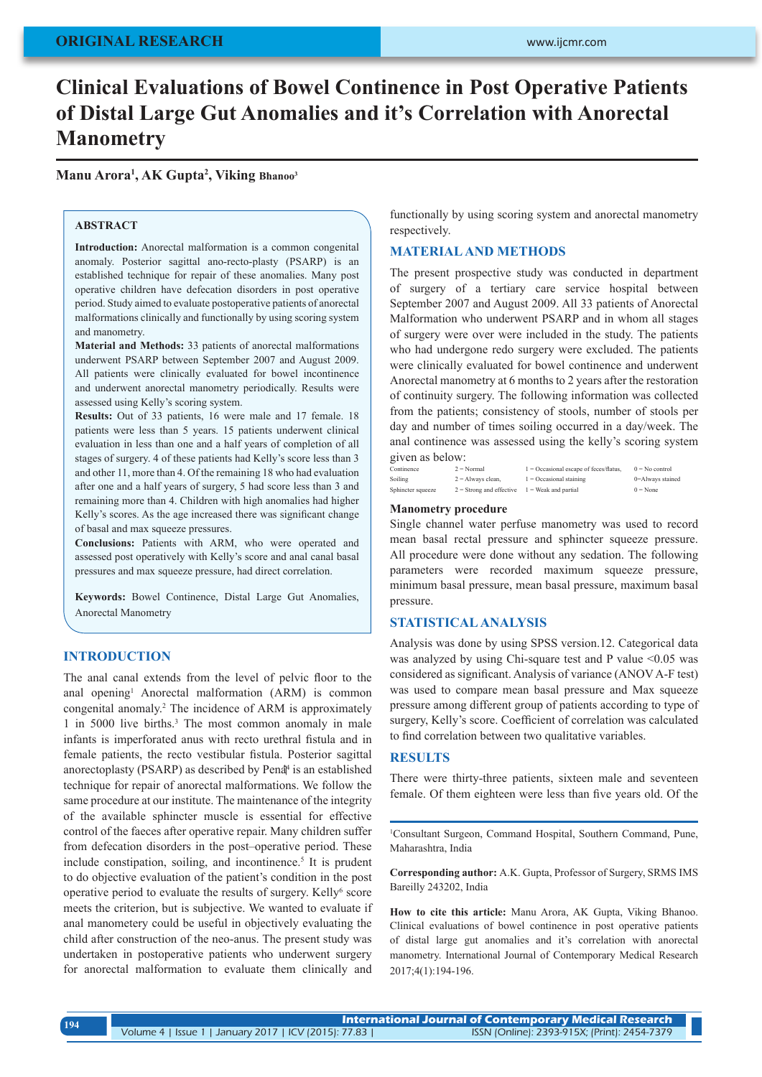# **Clinical Evaluations of Bowel Continence in Post Operative Patients of Distal Large Gut Anomalies and it's Correlation with Anorectal Manometry**

**Manu Arora1 , AK Gupta2 , Viking Bhanoo3**

#### **ABSTRACT**

**Introduction:** Anorectal malformation is a common congenital anomaly. Posterior sagittal ano-recto-plasty (PSARP) is an established technique for repair of these anomalies. Many post operative children have defecation disorders in post operative period. Study aimed to evaluate postoperative patients of anorectal malformations clinically and functionally by using scoring system and manometry.

**Material and Methods:** 33 patients of anorectal malformations underwent PSARP between September 2007 and August 2009. All patients were clinically evaluated for bowel incontinence and underwent anorectal manometry periodically. Results were assessed using Kelly's scoring system.

**Results:** Out of 33 patients, 16 were male and 17 female. 18 patients were less than 5 years. 15 patients underwent clinical evaluation in less than one and a half years of completion of all stages of surgery. 4 of these patients had Kelly's score less than 3 and other 11, more than 4. Of the remaining 18 who had evaluation after one and a half years of surgery, 5 had score less than 3 and remaining more than 4. Children with high anomalies had higher Kelly's scores. As the age increased there was significant change of basal and max squeeze pressures.

**Conclusions:** Patients with ARM, who were operated and assessed post operatively with Kelly's score and anal canal basal pressures and max squeeze pressure, had direct correlation.

**Keywords:** Bowel Continence, Distal Large Gut Anomalies, Anorectal Manometry

### **INTRODUCTION**

The anal canal extends from the level of pelvic floor to the anal opening<sup>1</sup> Anorectal malformation (ARM) is common congenital anomaly.2 The incidence of ARM is approximately 1 in 5000 live births.<sup>3</sup> The most common anomaly in male infants is imperforated anus with recto urethral fistula and in female patients, the recto vestibular fistula. Posterior sagittal anorectoplasty (PSARP) as described by Pena<sup>†</sup> is an established technique for repair of anorectal malformations. We follow the same procedure at our institute. The maintenance of the integrity of the available sphincter muscle is essential for effective control of the faeces after operative repair. Many children suffer from defecation disorders in the post–operative period. These include constipation, soiling, and incontinence.<sup>5</sup> It is prudent to do objective evaluation of the patient's condition in the post operative period to evaluate the results of surgery. Kelly<sup>6</sup> score meets the criterion, but is subjective. We wanted to evaluate if anal manometery could be useful in objectively evaluating the child after construction of the neo-anus. The present study was undertaken in postoperative patients who underwent surgery for anorectal malformation to evaluate them clinically and

functionally by using scoring system and anorectal manometry respectively.

## **MATERIAL AND METHODS**

The present prospective study was conducted in department of surgery of a tertiary care service hospital between September 2007 and August 2009. All 33 patients of Anorectal Malformation who underwent PSARP and in whom all stages of surgery were over were included in the study. The patients who had undergone redo surgery were excluded. The patients were clinically evaluated for bowel continence and underwent Anorectal manometry at 6 months to 2 years after the restoration of continuity surgery. The following information was collected from the patients; consistency of stools, number of stools per day and number of times soiling occurred in a day/week. The anal continence was assessed using the kelly's scoring system given as below:

| Continence        | $2 = Normal$               | $1 = Occasional escape of feces/flatus.$ | $0 = No$ control |
|-------------------|----------------------------|------------------------------------------|------------------|
| Soiling           | $2 =$ Always clean.        | $1 = Occasional staining$                | 0=Always stained |
| Sphincter squeeze | $2 =$ Strong and effective | $1$ = Weak and partial                   | $0 = None$       |

#### **Manometry procedure**

Single channel water perfuse manometry was used to record mean basal rectal pressure and sphincter squeeze pressure. All procedure were done without any sedation. The following parameters were recorded maximum squeeze pressure, minimum basal pressure, mean basal pressure, maximum basal pressure.

## **STATISTICAL ANALYSIS**

Analysis was done by using SPSS version.12. Categorical data was analyzed by using Chi-square test and P value <0.05 was considered as significant. Analysis of variance (ANOV A-F test) was used to compare mean basal pressure and Max squeeze pressure among different group of patients according to type of surgery, Kelly's score. Coefficient of correlation was calculated to find correlation between two qualitative variables.

#### **RESULTS**

There were thirty-three patients, sixteen male and seventeen female. Of them eighteen were less than five years old. Of the

1 Consultant Surgeon, Command Hospital, Southern Command, Pune, Maharashtra, India

**Corresponding author:** A.K. Gupta, Professor of Surgery, SRMS IMS Bareilly 243202, India

**How to cite this article:** Manu Arora, AK Gupta, Viking Bhanoo. Clinical evaluations of bowel continence in post operative patients of distal large gut anomalies and it's correlation with anorectal manometry. International Journal of Contemporary Medical Research 2017;4(1):194-196.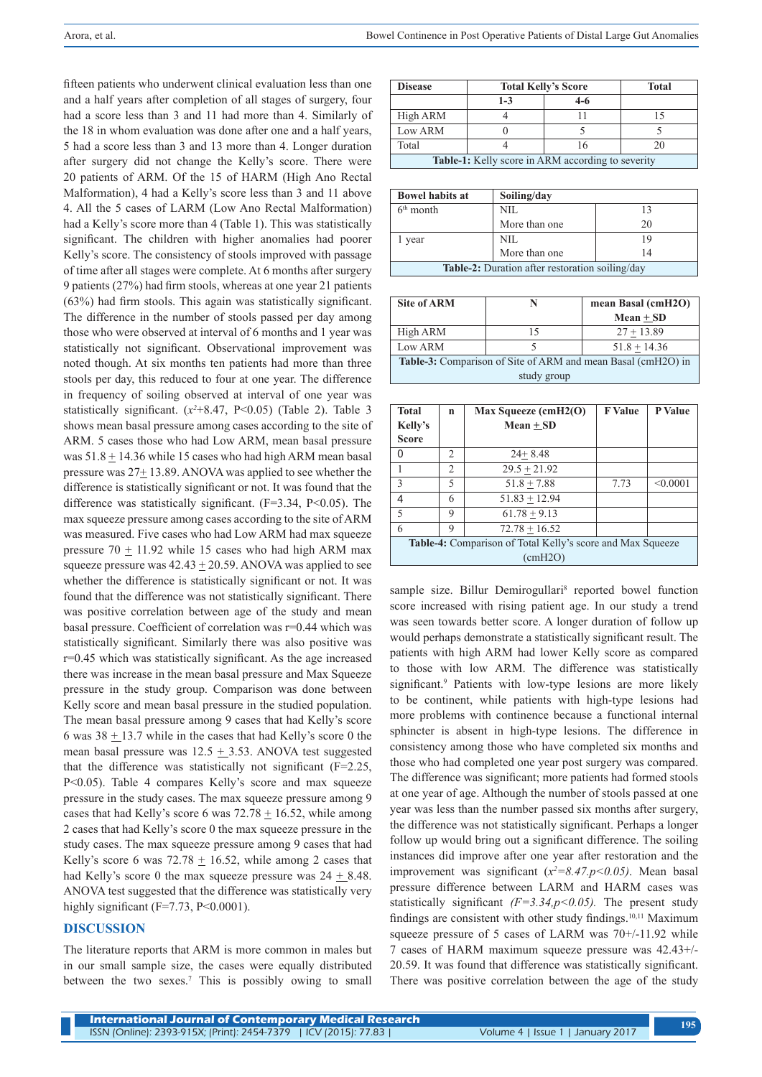fifteen patients who underwent clinical evaluation less than one and a half years after completion of all stages of surgery, four had a score less than 3 and 11 had more than 4. Similarly of the 18 in whom evaluation was done after one and a half years, 5 had a score less than 3 and 13 more than 4. Longer duration after surgery did not change the Kelly's score. There were 20 patients of ARM. Of the 15 of HARM (High Ano Rectal Malformation), 4 had a Kelly's score less than 3 and 11 above 4. All the 5 cases of LARM (Low Ano Rectal Malformation) had a Kelly's score more than 4 (Table 1). This was statistically significant. The children with higher anomalies had poorer Kelly's score. The consistency of stools improved with passage of time after all stages were complete. At 6 months after surgery 9 patients (27%) had firm stools, whereas at one year 21 patients (63%) had firm stools. This again was statistically significant. The difference in the number of stools passed per day among those who were observed at interval of 6 months and 1 year was statistically not significant. Observational improvement was noted though. At six months ten patients had more than three stools per day, this reduced to four at one year. The difference in frequency of soiling observed at interval of one year was statistically significant.  $(x^2+8.47, P<0.05)$  (Table 2). Table 3 shows mean basal pressure among cases according to the site of ARM. 5 cases those who had Low ARM, mean basal pressure was 51.8 + 14.36 while 15 cases who had high ARM mean basal pressure was 27+ 13.89. ANOVA was applied to see whether the difference is statistically significant or not. It was found that the difference was statistically significant.  $(F=3.34, P<0.05)$ . The max squeeze pressure among cases according to the site of ARM was measured. Five cases who had Low ARM had max squeeze pressure  $70 + 11.92$  while 15 cases who had high ARM max squeeze pressure was  $42.43 \pm 20.59$ . ANOVA was applied to see whether the difference is statistically significant or not. It was found that the difference was not statistically significant. There was positive correlation between age of the study and mean basal pressure. Coefficient of correlation was r=0.44 which was statistically significant. Similarly there was also positive was r=0.45 which was statistically significant. As the age increased there was increase in the mean basal pressure and Max Squeeze pressure in the study group. Comparison was done between Kelly score and mean basal pressure in the studied population. The mean basal pressure among 9 cases that had Kelly's score 6 was 38 + 13.7 while in the cases that had Kelly's score 0 the mean basal pressure was  $12.5 + 3.53$ . ANOVA test suggested that the difference was statistically not significant  $(F=2.25,$ P<0.05). Table 4 compares Kelly's score and max squeeze pressure in the study cases. The max squeeze pressure among 9 cases that had Kelly's score 6 was  $72.78 \pm 16.52$ , while among 2 cases that had Kelly's score 0 the max squeeze pressure in the study cases. The max squeeze pressure among 9 cases that had Kelly's score 6 was  $72.78 \pm 16.52$ , while among 2 cases that had Kelly's score 0 the max squeeze pressure was  $24 + 8.48$ . ANOVA test suggested that the difference was statistically very highly significant ( $F=7.73$ ,  $P<0.0001$ ).

## **DISCUSSION**

The literature reports that ARM is more common in males but in our small sample size, the cases were equally distributed between the two sexes.<sup>7</sup> This is possibly owing to small

| <b>Disease</b>                                           | <b>Total Kelly's Score</b> |       | <b>Total</b> |
|----------------------------------------------------------|----------------------------|-------|--------------|
|                                                          | $1 - 3$                    | $4-6$ |              |
| High ARM                                                 |                            |       |              |
| Low ARM                                                  |                            |       |              |
| Total                                                    |                            |       |              |
| <b>Table-1:</b> Kelly score in ARM according to severity |                            |       |              |

| <b>Bowel habits at</b>                                 | Soiling/day   |    |
|--------------------------------------------------------|---------------|----|
| $6th$ month                                            | NIL           |    |
|                                                        | More than one | 20 |
| year                                                   | NIL           | 19 |
|                                                        | More than one | 14 |
| <b>Table-2:</b> Duration after restoration soiling/day |               |    |

| <b>Site of ARM</b>                                                  | N  | mean Basal (cmH2O) |  |
|---------------------------------------------------------------------|----|--------------------|--|
|                                                                     |    | $Mean + SD$        |  |
| High ARM                                                            | 15 | $27 + 13.89$       |  |
| Low ARM                                                             |    | $51.8 + 14.36$     |  |
| <b>Table 3:</b> Comparison of Site of ARM and mean Basal (cmH2O) in |    |                    |  |
| study group                                                         |    |                    |  |

| <b>Total</b>                                               | n                             | $Max Square$ (cmH2(O) | <b>F</b> Value | P Value  |
|------------------------------------------------------------|-------------------------------|-----------------------|----------------|----------|
| Kelly's                                                    |                               | Mean + SD             |                |          |
| <b>Score</b>                                               |                               |                       |                |          |
| U                                                          | $\mathfrak{D}_{\mathfrak{p}}$ | $24 + 8.48$           |                |          |
|                                                            | $\overline{2}$                | $29.5 + 21.92$        |                |          |
| 3                                                          | 5                             | $51.8 + 7.88$         | 7.73           | < 0.0001 |
| 4                                                          | 6                             | $51.83 + 12.94$       |                |          |
| 5                                                          | 9                             | $61.78 + 9.13$        |                |          |
| 6                                                          | q                             | $72.78 + 16.52$       |                |          |
| Table-4: Comparison of Total Kelly's score and Max Squeeze |                               |                       |                |          |
| (cmH2O)                                                    |                               |                       |                |          |

sample size. Billur Demirogullari<sup>8</sup> reported bowel function score increased with rising patient age. In our study a trend was seen towards better score. A longer duration of follow up would perhaps demonstrate a statistically significant result. The patients with high ARM had lower Kelly score as compared to those with low ARM. The difference was statistically significant.<sup>9</sup> Patients with low-type lesions are more likely to be continent, while patients with high-type lesions had more problems with continence because a functional internal sphincter is absent in high-type lesions. The difference in consistency among those who have completed six months and those who had completed one year post surgery was compared. The difference was significant; more patients had formed stools at one year of age. Although the number of stools passed at one year was less than the number passed six months after surgery, the difference was not statistically significant. Perhaps a longer follow up would bring out a significant difference. The soiling instances did improve after one year after restoration and the improvement was significant  $(x^2=8.47, p<0.05)$ . Mean basal pressure difference between LARM and HARM cases was statistically significant ( $F=3.34, p<0.05$ ). The present study findings are consistent with other study findings.10,11 Maximum squeeze pressure of 5 cases of LARM was 70+/-11.92 while 7 cases of HARM maximum squeeze pressure was 42.43+/- 20.59. It was found that difference was statistically significant. There was positive correlation between the age of the study